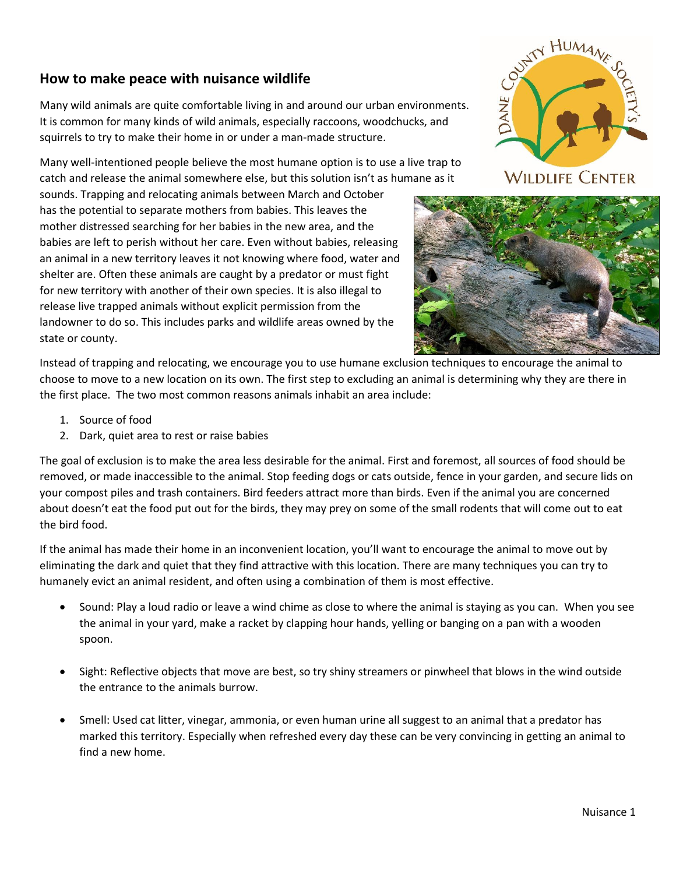## **How to make peace with nuisance wildlife**

Many wild animals are quite comfortable living in and around our urban environments. It is common for many kinds of wild animals, especially raccoons, woodchucks, and squirrels to try to make their home in or under a man-made structure.

Many well-intentioned people believe the most humane option is to use a live trap to catch and release the animal somewhere else, but this solution isn't as humane as it

sounds. Trapping and relocating animals between March and October has the potential to separate mothers from babies. This leaves the mother distressed searching for her babies in the new area, and the babies are left to perish without her care. Even without babies, releasing an animal in a new territory leaves it not knowing where food, water and shelter are. Often these animals are caught by a predator or must fight for new territory with another of their own species. It is also illegal to release live trapped animals without explicit permission from the landowner to do so. This includes parks and wildlife areas owned by the state or county.



**WILDLIFE CENTER** 



Instead of trapping and relocating, we encourage you to use humane exclusion techniques to encourage the animal to choose to move to a new location on its own. The first step to excluding an animal is determining why they are there in the first place. The two most common reasons animals inhabit an area include:

- 1. Source of food
- 2. Dark, quiet area to rest or raise babies

The goal of exclusion is to make the area less desirable for the animal. First and foremost, all sources of food should be removed, or made inaccessible to the animal. Stop feeding dogs or cats outside, fence in your garden, and secure lids on your compost piles and trash containers. Bird feeders attract more than birds. Even if the animal you are concerned about doesn't eat the food put out for the birds, they may prey on some of the small rodents that will come out to eat the bird food.

If the animal has made their home in an inconvenient location, you'll want to encourage the animal to move out by eliminating the dark and quiet that they find attractive with this location. There are many techniques you can try to humanely evict an animal resident, and often using a combination of them is most effective.

- Sound: Play a loud radio or leave a wind chime as close to where the animal is staying as you can. When you see the animal in your yard, make a racket by clapping hour hands, yelling or banging on a pan with a wooden spoon.
- Sight: Reflective objects that move are best, so try shiny streamers or pinwheel that blows in the wind outside the entrance to the animals burrow.
- Smell: Used cat litter, vinegar, ammonia, or even human urine all suggest to an animal that a predator has marked this territory. Especially when refreshed every day these can be very convincing in getting an animal to find a new home.